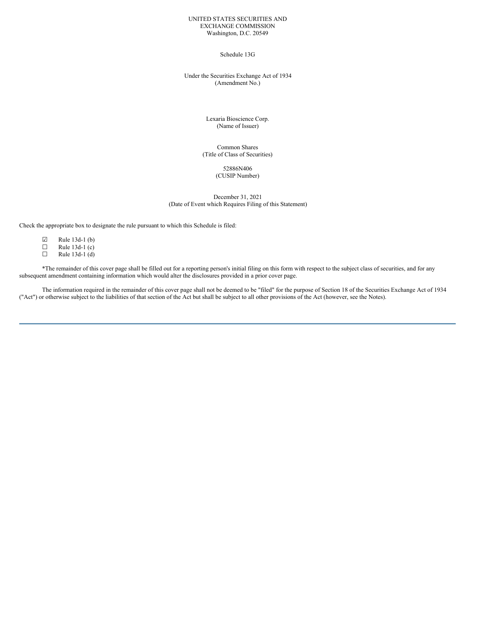### UNITED STATES SECURITIES AND EXCHANGE COMMISSION Washington, D.C. 20549

## Schedule 13G

## Under the Securities Exchange Act of 1934 (Amendment No.)

Lexaria Bioscience Corp. (Name of Issuer)

Common Shares (Title of Class of Securities)

### 52886N406 (CUSIP Number)

December 31, 2021 (Date of Event which Requires Filing of this Statement)

Check the appropriate box to designate the rule pursuant to which this Schedule is filed:

| ☑ | Rule 13d-1 (b) |
|---|----------------|
| Ш | Rule 13d-1 (c) |
| П | Rule 13d-1 (d) |

\*The remainder of this cover page shall be filled out for a reporting person's initial filing on this form with respect to the subject class of securities, and for any subsequent amendment containing information which would alter the disclosures provided in a prior cover page.

The information required in the remainder of this cover page shall not be deemed to be "filed" for the purpose of Section 18 of the Securities Exchange Act of 1934 ("Act") or otherwise subject to the liabilities of that section of the Act but shall be subject to all other provisions of the Act (however, see the Notes).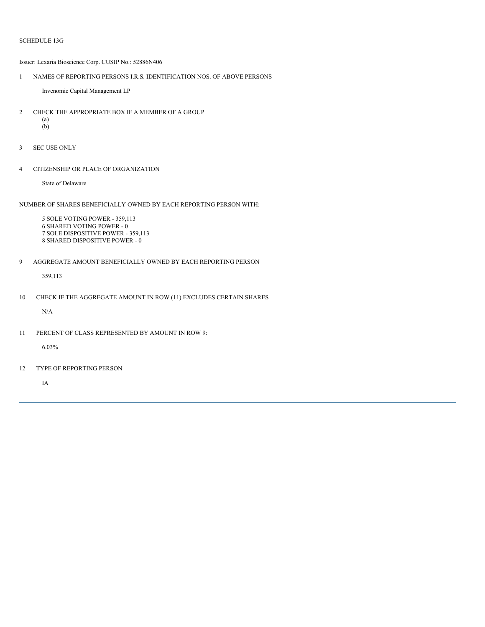Issuer: Lexaria Bioscience Corp. CUSIP No.: 52886N406

1 NAMES OF REPORTING PERSONS I.R.S. IDENTIFICATION NOS. OF ABOVE PERSONS

Invenomic Capital Management LP

- 2 CHECK THE APPROPRIATE BOX IF A MEMBER OF A GROUP (a)  $\overrightarrow{b}$
- 3 SEC USE ONLY
- 4 CITIZENSHIP OR PLACE OF ORGANIZATION

State of Delaware

NUMBER OF SHARES BENEFICIALLY OWNED BY EACH REPORTING PERSON WITH:

 SOLE VOTING POWER - 359,113 SHARED VOTING POWER - 0 SOLE DISPOSITIVE POWER - 359,113 SHARED DISPOSITIVE POWER - 0

9 AGGREGATE AMOUNT BENEFICIALLY OWNED BY EACH REPORTING PERSON

359,113

10 CHECK IF THE AGGREGATE AMOUNT IN ROW (11) EXCLUDES CERTAIN SHARES

N/A

11 PERCENT OF CLASS REPRESENTED BY AMOUNT IN ROW 9:

6.03%

12 TYPE OF REPORTING PERSON

IA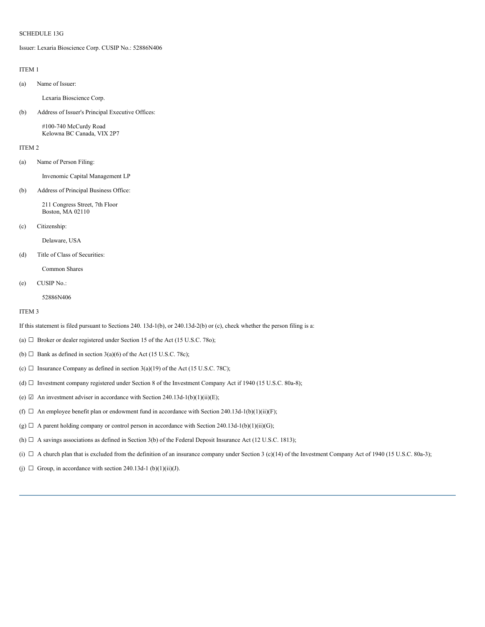Issuer: Lexaria Bioscience Corp. CUSIP No.: 52886N406

### ITEM 1

(a) Name of Issuer:

Lexaria Bioscience Corp.

(b) Address of Issuer's Principal Executive Offices:

#100-740 McCurdy Road Kelowna BC Canada, VIX 2P7

#### ITEM 2

(a) Name of Person Filing:

Invenomic Capital Management LP

(b) Address of Principal Business Office:

211 Congress Street, 7th Floor Boston, MA 02110

(c) Citizenship:

Delaware, USA

## (d) Title of Class of Securities:

Common Shares

(e) CUSIP No.:

52886N406

#### ITEM 3

If this statement is filed pursuant to Sections 240. 13d-1(b), or 240.13d-2(b) or (c), check whether the person filing is a:

- (a)  $\Box$  Broker or dealer registered under Section 15 of the Act (15 U.S.C. 78o);
- (b)  $\Box$  Bank as defined in section 3(a)(6) of the Act (15 U.S.C. 78c);
- (c)  $\Box$  Insurance Company as defined in section 3(a)(19) of the Act (15 U.S.C. 78C);
- (d) ☐ Investment company registered under Section 8 of the Investment Company Act if 1940 (15 U.S.C. 80a-8);
- (e)  $\boxtimes$  An investment adviser in accordance with Section 240.13d-1(b)(1)(ii)(E);
- (f)  $\Box$  An employee benefit plan or endowment fund in accordance with Section 240.13d-1(b)(1)(ii)(F);
- (g)  $\Box$  A parent holding company or control person in accordance with Section 240.13d-1(b)(1)(ii)(G);
- (h)  $\Box$  A savings associations as defined in Section 3(b) of the Federal Deposit Insurance Act (12 U.S.C. 1813);
- (i)  $\Box$  A church plan that is excluded from the definition of an insurance company under Section 3 (c)(14) of the Investment Company Act of 1940 (15 U.S.C. 80a-3);
- (j)  $\Box$  Group, in accordance with section 240.13d-1 (b)(1)(ii)(J).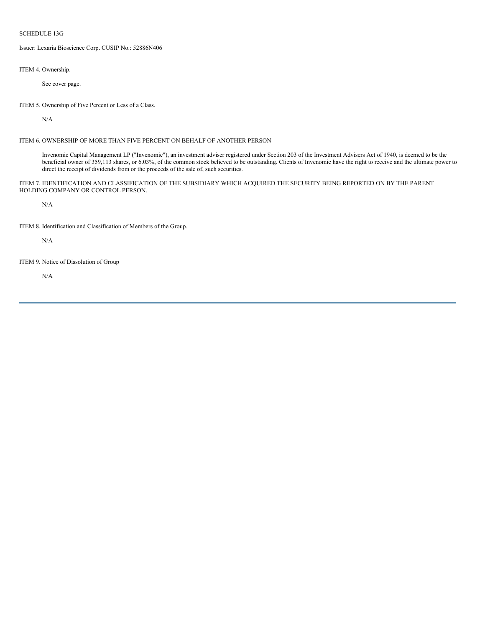Issuer: Lexaria Bioscience Corp. CUSIP No.: 52886N406

ITEM 4. Ownership.

See cover page.

ITEM 5. Ownership of Five Percent or Less of a Class.

N/A

# ITEM 6. OWNERSHIP OF MORE THAN FIVE PERCENT ON BEHALF OF ANOTHER PERSON

Invenomic Capital Management LP ("Invenomic"), an investment adviser registered under Section 203 of the Investment Advisers Act of 1940, is deemed to be the beneficial owner of 359,113 shares, or 6.03%, of the common stock believed to be outstanding. Clients of Invenomic have the right to receive and the ultimate power to direct the receipt of dividends from or the proceeds of the sale of, such securities.

ITEM 7. IDENTIFICATION AND CLASSIFICATION OF THE SUBSIDIARY WHICH ACQUIRED THE SECURITY BEING REPORTED ON BY THE PARENT HOLDING COMPANY OR CONTROL PERSON.

N/A

ITEM 8. Identification and Classification of Members of the Group.

N/A

ITEM 9. Notice of Dissolution of Group

N/A